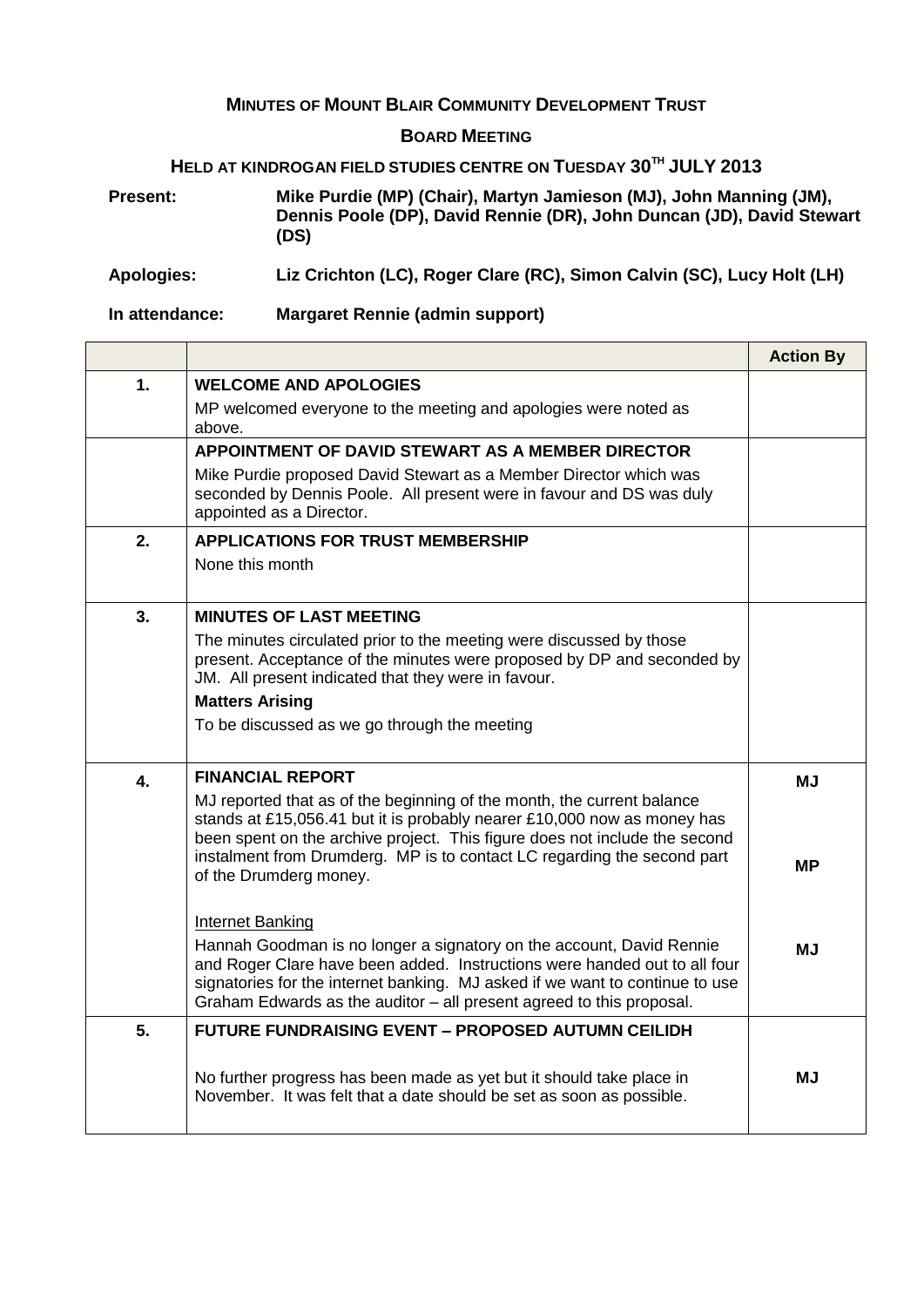## **MINUTES OF MOUNT BLAIR COMMUNITY DEVELOPMENT TRUST**

## **BOARD MEETING**

## **HELD AT KINDROGAN FIELD STUDIES CENTRE ON TUESDAY 30TH JULY 2013**

**Present: Mike Purdie (MP) (Chair), Martyn Jamieson (MJ), John Manning (JM), Dennis Poole (DP), David Rennie (DR), John Duncan (JD), David Stewart (DS)**

**Apologies: Liz Crichton (LC), Roger Clare (RC), Simon Calvin (SC), Lucy Holt (LH)**

Ē.

**In attendance: Margaret Rennie (admin support)**

 $\Gamma$ 

|    |                                                                                                                                                                                                                                                                                                           | <b>Action By</b> |
|----|-----------------------------------------------------------------------------------------------------------------------------------------------------------------------------------------------------------------------------------------------------------------------------------------------------------|------------------|
| 1. | <b>WELCOME AND APOLOGIES</b>                                                                                                                                                                                                                                                                              |                  |
|    | MP welcomed everyone to the meeting and apologies were noted as<br>above.                                                                                                                                                                                                                                 |                  |
|    | APPOINTMENT OF DAVID STEWART AS A MEMBER DIRECTOR                                                                                                                                                                                                                                                         |                  |
|    | Mike Purdie proposed David Stewart as a Member Director which was<br>seconded by Dennis Poole. All present were in favour and DS was duly<br>appointed as a Director.                                                                                                                                     |                  |
| 2. | <b>APPLICATIONS FOR TRUST MEMBERSHIP</b>                                                                                                                                                                                                                                                                  |                  |
|    | None this month                                                                                                                                                                                                                                                                                           |                  |
| 3. | <b>MINUTES OF LAST MEETING</b>                                                                                                                                                                                                                                                                            |                  |
|    | The minutes circulated prior to the meeting were discussed by those<br>present. Acceptance of the minutes were proposed by DP and seconded by<br>JM. All present indicated that they were in favour.                                                                                                      |                  |
|    | <b>Matters Arising</b>                                                                                                                                                                                                                                                                                    |                  |
|    | To be discussed as we go through the meeting                                                                                                                                                                                                                                                              |                  |
| 4. | <b>FINANCIAL REPORT</b>                                                                                                                                                                                                                                                                                   | <b>MJ</b>        |
|    | MJ reported that as of the beginning of the month, the current balance<br>stands at £15,056.41 but it is probably nearer £10,000 now as money has<br>been spent on the archive project. This figure does not include the second                                                                           |                  |
|    | instalment from Drumderg. MP is to contact LC regarding the second part<br>of the Drumderg money.                                                                                                                                                                                                         | MР               |
|    | <b>Internet Banking</b>                                                                                                                                                                                                                                                                                   |                  |
|    | Hannah Goodman is no longer a signatory on the account, David Rennie<br>and Roger Clare have been added. Instructions were handed out to all four<br>signatories for the internet banking. MJ asked if we want to continue to use<br>Graham Edwards as the auditor - all present agreed to this proposal. | МJ               |
| 5. | <b>FUTURE FUNDRAISING EVENT - PROPOSED AUTUMN CEILIDH</b>                                                                                                                                                                                                                                                 |                  |
|    | No further progress has been made as yet but it should take place in<br>November. It was felt that a date should be set as soon as possible.                                                                                                                                                              | МJ               |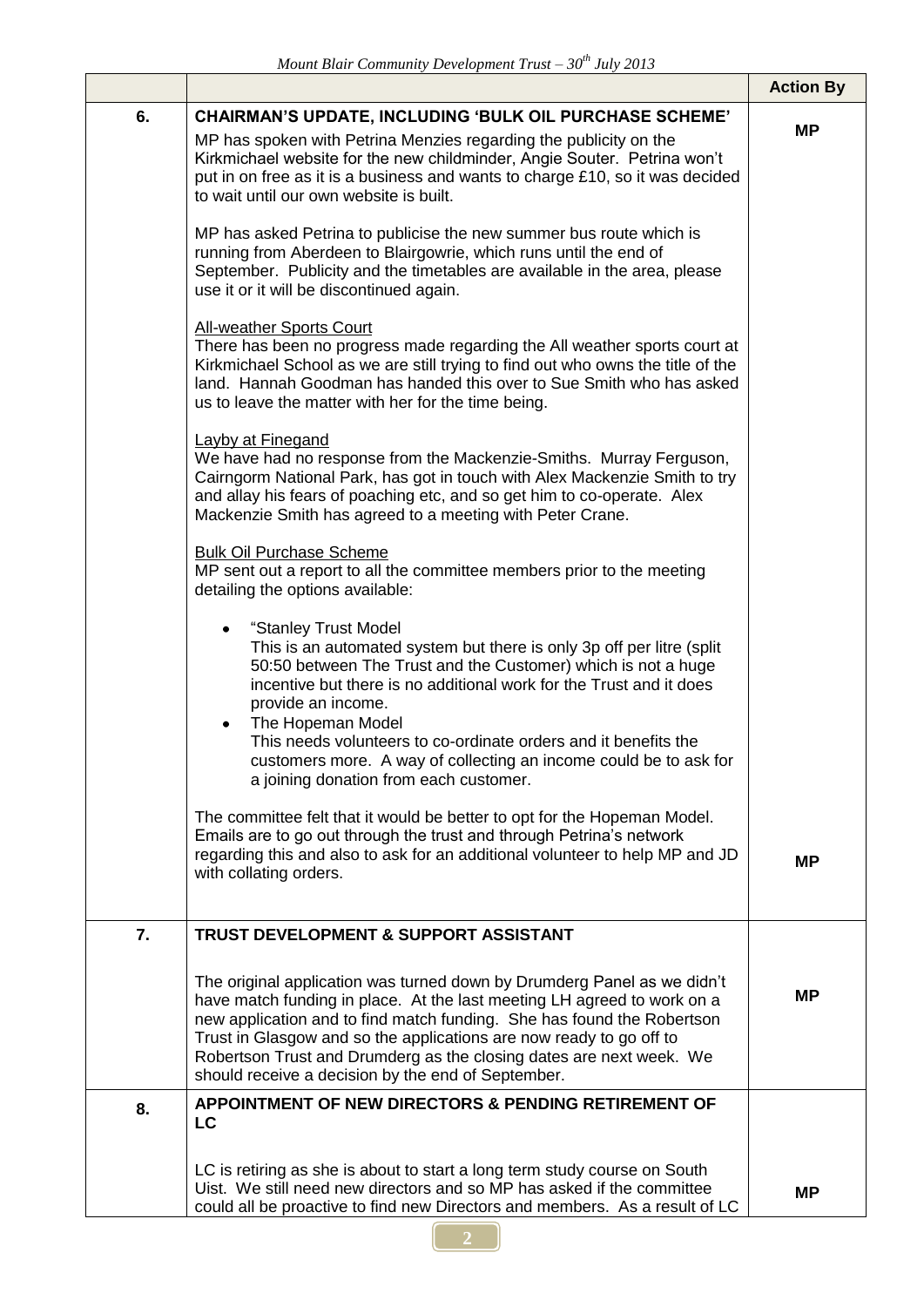|    |                                                                                                                                                                                                                                                                                                                                                                                                                                                                                                                                                                                                                                                                                                                                                                                                                                                                                                                                                                                                                                                                                                                                                                                                                                                                                                                                                                                                                                                                                                                                                                                                                                                                                                                                                                                                                                                                                                                                                                                                                                                                                                                                                                   | <b>Action By</b> |
|----|-------------------------------------------------------------------------------------------------------------------------------------------------------------------------------------------------------------------------------------------------------------------------------------------------------------------------------------------------------------------------------------------------------------------------------------------------------------------------------------------------------------------------------------------------------------------------------------------------------------------------------------------------------------------------------------------------------------------------------------------------------------------------------------------------------------------------------------------------------------------------------------------------------------------------------------------------------------------------------------------------------------------------------------------------------------------------------------------------------------------------------------------------------------------------------------------------------------------------------------------------------------------------------------------------------------------------------------------------------------------------------------------------------------------------------------------------------------------------------------------------------------------------------------------------------------------------------------------------------------------------------------------------------------------------------------------------------------------------------------------------------------------------------------------------------------------------------------------------------------------------------------------------------------------------------------------------------------------------------------------------------------------------------------------------------------------------------------------------------------------------------------------------------------------|------------------|
| 6. | <b>CHAIRMAN'S UPDATE, INCLUDING 'BULK OIL PURCHASE SCHEME'</b><br>MP has spoken with Petrina Menzies regarding the publicity on the<br>Kirkmichael website for the new childminder, Angie Souter. Petrina won't<br>put in on free as it is a business and wants to charge £10, so it was decided<br>to wait until our own website is built.<br>MP has asked Petrina to publicise the new summer bus route which is<br>running from Aberdeen to Blairgowrie, which runs until the end of<br>September. Publicity and the timetables are available in the area, please<br>use it or it will be discontinued again.<br><b>All-weather Sports Court</b><br>There has been no progress made regarding the All weather sports court at<br>Kirkmichael School as we are still trying to find out who owns the title of the<br>land. Hannah Goodman has handed this over to Sue Smith who has asked<br>us to leave the matter with her for the time being.<br><b>Layby at Finegand</b><br>We have had no response from the Mackenzie-Smiths. Murray Ferguson,<br>Cairngorm National Park, has got in touch with Alex Mackenzie Smith to try<br>and allay his fears of poaching etc, and so get him to co-operate. Alex<br>Mackenzie Smith has agreed to a meeting with Peter Crane.<br><b>Bulk Oil Purchase Scheme</b><br>MP sent out a report to all the committee members prior to the meeting<br>detailing the options available:<br>"Stanley Trust Model<br>This is an automated system but there is only 3p off per litre (split)<br>50:50 between The Trust and the Customer) which is not a huge<br>incentive but there is no additional work for the Trust and it does<br>provide an income.<br>The Hopeman Model<br>This needs volunteers to co-ordinate orders and it benefits the<br>customers more. A way of collecting an income could be to ask for<br>a joining donation from each customer.<br>The committee felt that it would be better to opt for the Hopeman Model.<br>Emails are to go out through the trust and through Petrina's network<br>regarding this and also to ask for an additional volunteer to help MP and JD<br>with collating orders. | <b>MP</b><br>ΜP  |
| 7. | <b>TRUST DEVELOPMENT &amp; SUPPORT ASSISTANT</b><br>The original application was turned down by Drumderg Panel as we didn't<br>have match funding in place. At the last meeting LH agreed to work on a<br>new application and to find match funding. She has found the Robertson<br>Trust in Glasgow and so the applications are now ready to go off to<br>Robertson Trust and Drumderg as the closing dates are next week. We<br>should receive a decision by the end of September.                                                                                                                                                                                                                                                                                                                                                                                                                                                                                                                                                                                                                                                                                                                                                                                                                                                                                                                                                                                                                                                                                                                                                                                                                                                                                                                                                                                                                                                                                                                                                                                                                                                                              | MР               |
| 8. | APPOINTMENT OF NEW DIRECTORS & PENDING RETIREMENT OF<br>LC<br>LC is retiring as she is about to start a long term study course on South<br>Uist. We still need new directors and so MP has asked if the committee<br>could all be proactive to find new Directors and members. As a result of LC                                                                                                                                                                                                                                                                                                                                                                                                                                                                                                                                                                                                                                                                                                                                                                                                                                                                                                                                                                                                                                                                                                                                                                                                                                                                                                                                                                                                                                                                                                                                                                                                                                                                                                                                                                                                                                                                  | <b>MP</b>        |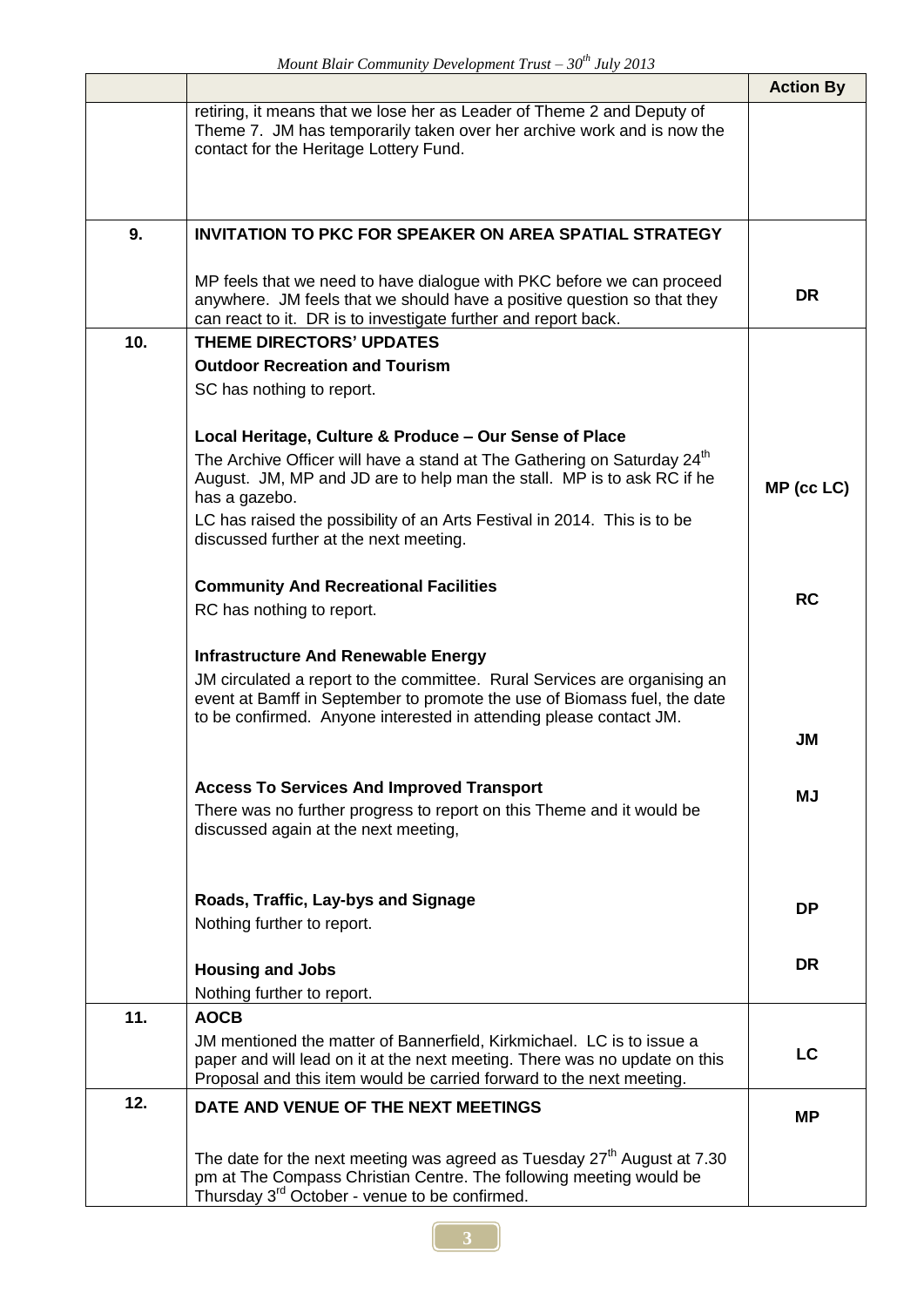|     |                                                                                                                                                                                                                             | <b>Action By</b> |
|-----|-----------------------------------------------------------------------------------------------------------------------------------------------------------------------------------------------------------------------------|------------------|
|     | retiring, it means that we lose her as Leader of Theme 2 and Deputy of<br>Theme 7. JM has temporarily taken over her archive work and is now the<br>contact for the Heritage Lottery Fund.                                  |                  |
|     |                                                                                                                                                                                                                             |                  |
| 9.  | <b>INVITATION TO PKC FOR SPEAKER ON AREA SPATIAL STRATEGY</b>                                                                                                                                                               |                  |
|     | MP feels that we need to have dialogue with PKC before we can proceed<br>anywhere. JM feels that we should have a positive question so that they<br>can react to it. DR is to investigate further and report back.          | <b>DR</b>        |
| 10. | <b>THEME DIRECTORS' UPDATES</b>                                                                                                                                                                                             |                  |
|     | <b>Outdoor Recreation and Tourism</b>                                                                                                                                                                                       |                  |
|     | SC has nothing to report.                                                                                                                                                                                                   |                  |
|     | Local Heritage, Culture & Produce - Our Sense of Place<br>The Archive Officer will have a stand at The Gathering on Saturday 24 <sup>th</sup><br>August. JM, MP and JD are to help man the stall. MP is to ask RC if he     | MP (cc LC)       |
|     | has a gazebo.                                                                                                                                                                                                               |                  |
|     | LC has raised the possibility of an Arts Festival in 2014. This is to be<br>discussed further at the next meeting.                                                                                                          |                  |
|     |                                                                                                                                                                                                                             |                  |
|     | <b>Community And Recreational Facilities</b>                                                                                                                                                                                |                  |
|     | RC has nothing to report.                                                                                                                                                                                                   | <b>RC</b>        |
|     |                                                                                                                                                                                                                             |                  |
|     | <b>Infrastructure And Renewable Energy</b>                                                                                                                                                                                  |                  |
|     | JM circulated a report to the committee. Rural Services are organising an<br>event at Bamff in September to promote the use of Biomass fuel, the date<br>to be confirmed. Anyone interested in attending please contact JM. |                  |
|     |                                                                                                                                                                                                                             | <b>JM</b>        |
|     |                                                                                                                                                                                                                             |                  |
|     | <b>Access To Services And Improved Transport</b>                                                                                                                                                                            | MJ               |
|     | There was no further progress to report on this Theme and it would be<br>discussed again at the next meeting,                                                                                                               |                  |
|     |                                                                                                                                                                                                                             |                  |
|     | Roads, Traffic, Lay-bys and Signage<br>Nothing further to report.                                                                                                                                                           | <b>DP</b>        |
|     |                                                                                                                                                                                                                             |                  |
|     | <b>Housing and Jobs</b>                                                                                                                                                                                                     | <b>DR</b>        |
|     | Nothing further to report.                                                                                                                                                                                                  |                  |
| 11. | <b>AOCB</b>                                                                                                                                                                                                                 |                  |
|     | JM mentioned the matter of Bannerfield, Kirkmichael. LC is to issue a<br>paper and will lead on it at the next meeting. There was no update on this<br>Proposal and this item would be carried forward to the next meeting. | LC               |
| 12. | DATE AND VENUE OF THE NEXT MEETINGS                                                                                                                                                                                         | <b>MP</b>        |
|     | The date for the next meeting was agreed as Tuesday 27 <sup>th</sup> August at 7.30<br>pm at The Compass Christian Centre. The following meeting would be<br>Thursday 3 <sup>rd</sup> October - venue to be confirmed.      |                  |